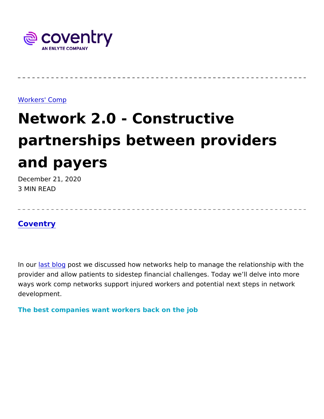## [Workers' C](https://www.coventrywcs.com/insights/workers-comp)omp

## Network 2.0 - Constructive partnerships between provider and payers

December 21, 2020 3 MIN READ

## [Covent](https://www.coventrywcs.com/node/4381)ry

In oun ast blog ost we discussed how networks help to manage the relationship with the relationship with the relationship with the relationship with the relationship with the relationship with the relationship with the rel provider and allow patients to sidestep financial challenges. Today ways work comp networks support injured workers and potential next development.

The best companies want workers back on the job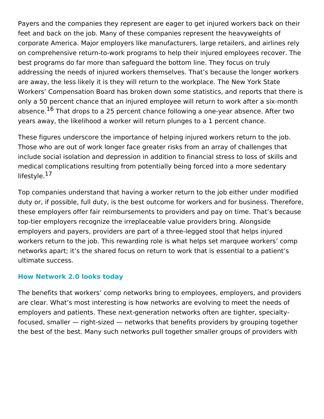Payers and the companies they represent are eager to get injured workers back on their feet and back on the job. Many of these companies represent the heavyweights of corporate America. Major employers like manufacturers, large retailers, and airlines rely on comprehensive return-to-work programs to help their injured employees recover. The best programs do far more than safeguard the bottom line. They focus on truly addressing the needs of injured workers themselves. That's because the longer workers are away, the less likely it is they will return to the workplace. The New York State Workers' Compensation Board has broken down some statistics, and reports that there is only a 50 percent chance that an injured employee will return to work after a six-month absence.<sup>16</sup> That drops to a 25 percent chance following a one-year absence. After two years away, the likelihood a worker will return plunges to a 1 percent chance.

These figures underscore the importance of helping injured workers return to the job. Those who are out of work longer face greater risks from an array of challenges that include social isolation and depression in addition to financial stress to loss of skills and medical complications resulting from potentially being forced into a more sedentary lifestyle.<sup>17</sup>

Top companies understand that having a worker return to the job either under modified duty or, if possible, full duty, is the best outcome for workers and for business. Therefore, these employers offer fair reimbursements to providers and pay on time. That's because top-tier employers recognize the irreplaceable value providers bring. Alongside employers and payers, providers are part of a three-legged stool that helps injured workers return to the job. This rewarding role is what helps set marquee workers' comp networks apart; it's the shared focus on return to work that is essential to a patient's ultimate success.

## **How Network 2.0 looks today**

The benefits that workers' comp networks bring to employees, employers, and providers are clear. What's most interesting is how networks are evolving to meet the needs of employers and patients. These next-generation networks often are tighter, specialtyfocused, smaller — right-sized — networks that benefits providers by grouping together the best of the best. Many such networks pull together smaller groups of providers with